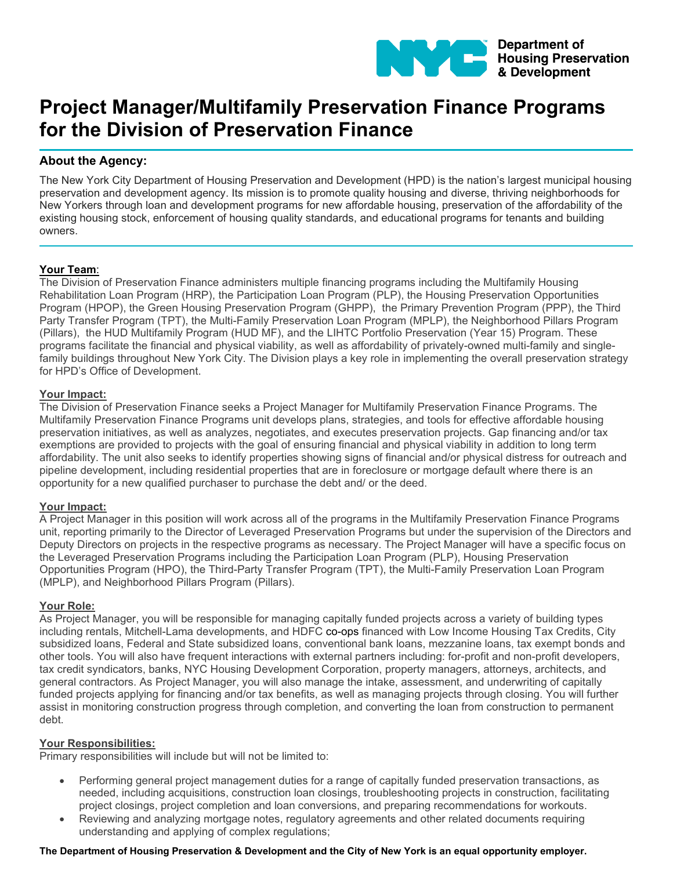

# **Project Manager/Multifamily Preservation Finance Programs for the Division of Preservation Finance**

## **About the Agency:**

The New York City Department of Housing Preservation and Development (HPD) is the nation's largest municipal housing preservation and development agency. Its mission is to promote quality housing and diverse, thriving neighborhoods for New Yorkers through loan and development programs for new affordable housing, preservation of the affordability of the existing housing stock, enforcement of housing quality standards, and educational programs for tenants and building owners.

## **Your Team**:

The Division of Preservation Finance administers multiple financing programs including the Multifamily Housing Rehabilitation Loan Program (HRP), the Participation Loan Program (PLP), the Housing Preservation Opportunities Program (HPOP), the Green Housing Preservation Program (GHPP), the Primary Prevention Program (PPP), the Third Party Transfer Program (TPT), the Multi-Family Preservation Loan Program (MPLP), the Neighborhood Pillars Program (Pillars), the HUD Multifamily Program (HUD MF), and the LIHTC Portfolio Preservation (Year 15) Program. These programs facilitate the financial and physical viability, as well as affordability of privately-owned multi-family and singlefamily buildings throughout New York City. The Division plays a key role in implementing the overall preservation strategy for HPD's Office of Development.

#### **Your Impact:**

The Division of Preservation Finance seeks a Project Manager for Multifamily Preservation Finance Programs. The Multifamily Preservation Finance Programs unit develops plans, strategies, and tools for effective affordable housing preservation initiatives, as well as analyzes, negotiates, and executes preservation projects. Gap financing and/or tax exemptions are provided to projects with the goal of ensuring financial and physical viability in addition to long term affordability. The unit also seeks to identify properties showing signs of financial and/or physical distress for outreach and pipeline development, including residential properties that are in foreclosure or mortgage default where there is an opportunity for a new qualified purchaser to purchase the debt and/ or the deed.

## **Your Impact:**

A Project Manager in this position will work across all of the programs in the Multifamily Preservation Finance Programs unit, reporting primarily to the Director of Leveraged Preservation Programs but under the supervision of the Directors and Deputy Directors on projects in the respective programs as necessary. The Project Manager will have a specific focus on the Leveraged Preservation Programs including the Participation Loan Program (PLP), Housing Preservation Opportunities Program (HPO), the Third-Party Transfer Program (TPT), the Multi-Family Preservation Loan Program (MPLP), and Neighborhood Pillars Program (Pillars).

#### **Your Role:**

As Project Manager, you will be responsible for managing capitally funded projects across a variety of building types including rentals, Mitchell-Lama developments, and HDFC co-ops financed with Low Income Housing Tax Credits, City subsidized loans, Federal and State subsidized loans, conventional bank loans, mezzanine loans, tax exempt bonds and other tools. You will also have frequent interactions with external partners including: for-profit and non-profit developers, tax credit syndicators, banks, NYC Housing Development Corporation, property managers, attorneys, architects, and general contractors. As Project Manager, you will also manage the intake, assessment, and underwriting of capitally funded projects applying for financing and/or tax benefits, as well as managing projects through closing. You will further assist in monitoring construction progress through completion, and converting the loan from construction to permanent debt.

#### **Your Responsibilities:**

Primary responsibilities will include but will not be limited to:

- Performing general project management duties for a range of capitally funded preservation transactions, as needed, including acquisitions, construction loan closings, troubleshooting projects in construction, facilitating project closings, project completion and loan conversions, and preparing recommendations for workouts.
- Reviewing and analyzing mortgage notes, regulatory agreements and other related documents requiring understanding and applying of complex regulations;

#### **The Department of Housing Preservation & Development and the City of New York is an equal opportunity employer.**